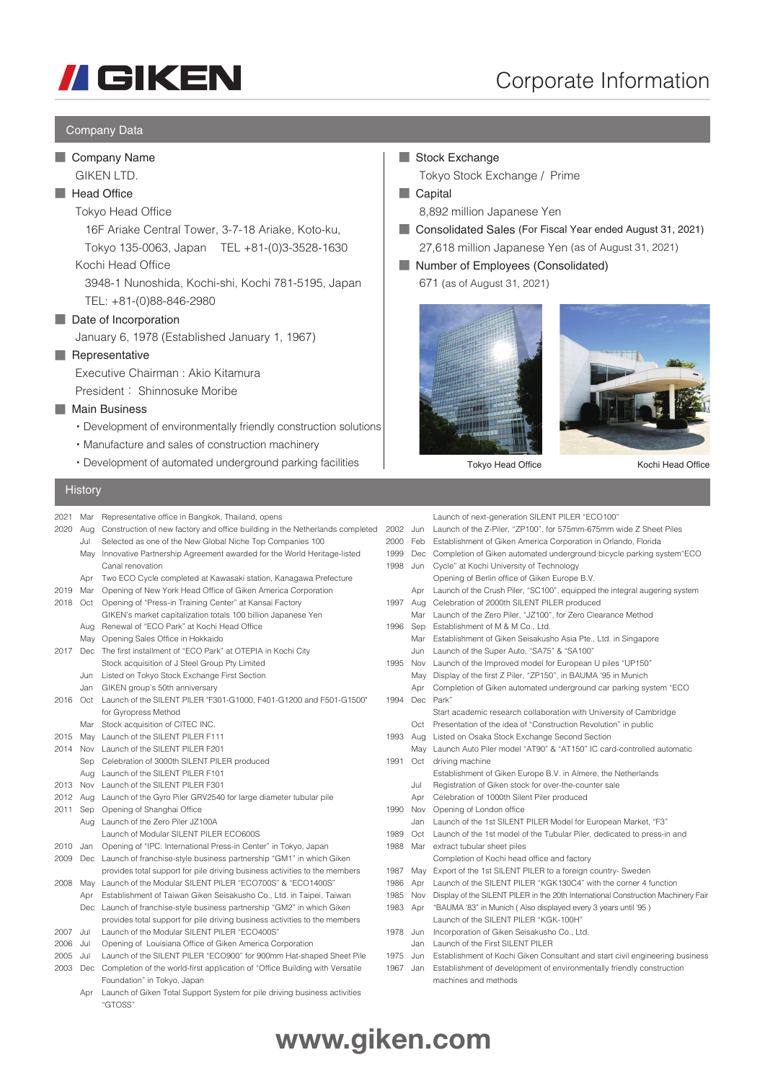

# Corporate Information

### Company Data

### ■ Company Name GIKEN LTD.

# ■ Head Office

## Tokyo Head Office

 16F Ariake Central Tower, 3-7-18 Ariake, Koto-ku, Tokyo 135-0063, Japan TEL +81-(0)3-3528-1630

Kochi Head Office

 3948-1 Nunoshida, Kochi-shi, Kochi 781-5195, Japan TEL: +81-(0)88-846-2980

### ■ Date of Incorporation

January 6, 1978 (Established January 1, 1967)

### ■ Representative

Executive Chairman : Akio Kitamura

President : Shinnosuke Moribe

### ■ Main Business

**History** 

- ・Development of environmentally friendly construction solutions
- ・Manufacture and sales of construction machinery
- ・Development of automated underground parking facilities

### Stock Exchange **■**

Tokyo Stock Exchange / Prime

■ Capital

8,892 million Japanese Yen

- Consolidated Sales (For Fiscal Year ended August 31, 2021) **■** 27,618 million Japanese Yen (as of August 31, 2021)
- Number of Employees (Consolidated) 671 (as of August 31, 2021)





Tokyo Head Office Kochi Head Office

| 2021 | Mar        | Representative office in Bangkok, Thailand, opens                                    |      |            | Launch of next-generation SILENT PILER "ECO100"                                   |
|------|------------|--------------------------------------------------------------------------------------|------|------------|-----------------------------------------------------------------------------------|
| 2020 | Aug        | Construction of new factory and office building in the Netherlands completed         | 2002 | Jun        | Launch of the Z-Piler, "ZP100", for 575mm-675mm wide Z Sheet Piles                |
|      | Jul        | Selected as one of the New Global Niche Top Companies 100                            | 2000 | Feb        | Establishment of Giken America Corporation in Orlando, Florida                    |
|      | May        | Innovative Partnership Agreement awarded for the World Heritage-listed               | 1999 | Dec        | Completion of Giken automated underground bicycle parking system ECO              |
|      |            | Canal renovation                                                                     | 1998 | Jun        | Cycle" at Kochi University of Technology                                          |
|      | Apr        | Two ECO Cycle completed at Kawasaki station, Kanagawa Prefecture                     |      |            | Opening of Berlin office of Giken Europe B.V.                                     |
| 2019 | Mar        | Opening of New York Head Office of Giken America Corporation                         |      | Apr        | Launch of the Crush Piler, "SC100", equipped the integral augering system         |
| 2018 | Oct        | Opening of "Press-in Training Center" at Kansai Factory                              | 1997 | Aug        | Celebration of 2000th SILENT PILER produced                                       |
|      |            | GIKEN's market capitalization totals 100 billion Japanese Yen                        |      | Mar        | Launch of the Zero Piler, "JZ100", for Zero Clearance Method                      |
|      | Aug        | Renewal of "ECO Park" at Kochi Head Office                                           | 1996 | Sep        | Establishment of M & M Co., Ltd.                                                  |
|      | May        | Opening Sales Office in Hokkaido                                                     |      | Mar        | Establishment of Giken Seisakusho Asia Pte., Ltd. in Singapore                    |
| 2017 | Dec        | The first installment of "ECO Park" at OTEPIA in Kochi City                          |      | Jun        | Launch of the Super Auto, "SA75" & "SA100"                                        |
|      |            | Stock acquisition of J Steel Group Pty Limited                                       | 1995 | Nov        | Launch of the Improved model for European U piles "UP150"                         |
|      | Jun        | Listed on Tokyo Stock Exchange First Section                                         |      | May        | Display of the first Z Piler, "ZP150", in BAUMA '95 in Munich                     |
|      | Jan        | GIKEN group's 50th anniversary                                                       |      | Apr        | Completion of Giken automated underground car parking system "ECO                 |
| 2016 | Oct        | Launch of the SILENT PILER "F301-G1000, F401-G1200 and F501-G1500"                   | 1994 |            | Dec Park"                                                                         |
|      |            | for Gyropress Method                                                                 |      |            | Start academic research collaboration with University of Cambridge                |
|      | Mar        | Stock acquisition of CITEC INC.                                                      |      | Oct        | Presentation of the idea of "Construction Revolution" in public                   |
| 2015 | Mav        | Launch of the SILENT PILER F111                                                      | 1993 | Aug        | Listed on Osaka Stock Exchange Second Section                                     |
| 2014 | <b>Nov</b> | Launch of the SILENT PILER F201                                                      |      | Mav        | Launch Auto Piler model "AT90" & "AT150" IC card-controlled automatic             |
|      | Sep        | Celebration of 3000th SILENT PILER produced                                          | 1991 |            | Oct driving machine                                                               |
|      | Aug        | Launch of the SILENT PILER F101                                                      |      |            | Establishment of Giken Europe B.V. in Almere, the Netherlands                     |
| 2013 | <b>Nov</b> | Launch of the SILENT PILER F301                                                      |      | Jul        | Registration of Giken stock for over-the-counter sale                             |
| 2012 | Aug        | Launch of the Gyro Piler GRV2540 for large diameter tubular pile                     |      | Apr        | Celebration of 1000th Silent Piler produced                                       |
| 2011 | Sep        | Opening of Shanghai Office                                                           | 1990 | Nov        | Opening of London office                                                          |
|      | Aug        | Launch of the Zero Piler JZ100A                                                      |      | Jan        | Launch of the 1st SILENT PILER Model for European Market, "F3"                    |
|      |            | Launch of Modular SILENT PILER ECO600S                                               | 1989 | Oct        | Launch of the 1st model of the Tubular Piler, dedicated to press-in and           |
| 2010 | Jan        | Opening of "IPC: International Press-in Center" in Tokyo, Japan                      | 1988 | Mar        | extract tubular sheet piles                                                       |
| 2009 | Dec        | Launch of franchise-style business partnership "GM1" in which Giken                  |      |            | Completion of Kochi head office and factory                                       |
|      |            | provides total support for pile driving business activities to the members           | 1987 | May        | Export of the 1st SILENT PILER to a foreign country-Sweden                        |
| 2008 | May        | Launch of the Modular SILENT PILER "ECO700S" & "ECO1400S"                            | 1986 | Apr        | Launch of the SILENT PILER "KGK130C4" with the corner 4 function                  |
|      | Apr        | Establishment of Taiwan Giken Seisakusho Co., Ltd. in Taipei, Taiwan                 | 1985 | <b>Nov</b> | Display of the SILENT PILER in the 20th International Construction Machinery Fair |
|      | Dec        | Launch of franchise-style business partnership "GM2" in which Giken                  | 1983 | Apr        | "BAUMA '83" in Munich (Also displayed every 3 years until '95)                    |
|      |            | provides total support for pile driving business activities to the members           |      |            | Launch of the SILENT PILER "KGK-100H"                                             |
| 2007 | Jul        | Launch of the Modular SILENT PILER "ECO400S"                                         | 1978 | Jun        | Incorporation of Giken Seisakusho Co., Ltd.                                       |
| 2006 | Jul        | Opening of Louisiana Office of Giken America Corporation                             |      | Jan        | Launch of the First SILENT PILER                                                  |
| 2005 | Jul        | Launch of the SILENT PILER "ECO900" for 900mm Hat-shaped Sheet Pile                  | 1975 | Jun        | Establishment of Kochi Giken Consultant and start civil engineering business      |
| 2003 | Dec        | Completion of the world-first application of "Office Building with Versatile"        | 1967 | Jan        | Establishment of development of environmentally friendly construction             |
|      |            | Foundation" in Tokyo, Japan                                                          |      |            | machines and methods                                                              |
|      | Apr        | Launch of Giken Total Support System for pile driving business activities<br>"GTOSS" |      |            |                                                                                   |
|      |            |                                                                                      |      |            |                                                                                   |

# **www.giken.com**